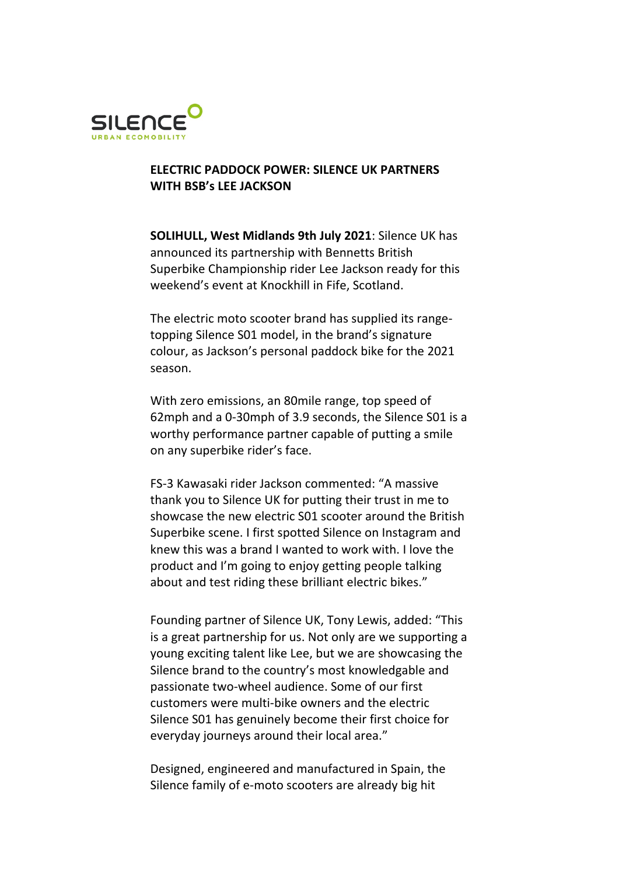

## **ELECTRIC PADDOCK POWER: SILENCE UK PARTNERS WITH BSB's LEE JACKSON**

**SOLIHULL, West Midlands 9th July 2021**: Silence UK has announced its partnership with Bennetts British Superbike Championship rider Lee Jackson ready for this weekend's event at Knockhill in Fife, Scotland.

The electric moto scooter brand has supplied its rangetopping Silence S01 model, in the brand's signature colour, as Jackson's personal paddock bike for the 2021 season.

With zero emissions, an 80mile range, top speed of 62mph and a 0-30mph of 3.9 seconds, the Silence S01 is a worthy performance partner capable of putting a smile on any superbike rider's face.

FS-3 Kawasaki rider Jackson commented: "A massive thank you to Silence UK for putting their trust in me to showcase the new electric S01 scooter around the British Superbike scene. I first spotted Silence on Instagram and knew this was a brand I wanted to work with. I love the product and I'm going to enjoy getting people talking about and test riding these brilliant electric bikes."

Founding partner of Silence UK, Tony Lewis, added: "This is a great partnership for us. Not only are we supporting a young exciting talent like Lee, but we are showcasing the Silence brand to the country's most knowledgable and passionate two-wheel audience. Some of our first customers were multi-bike owners and the electric Silence S01 has genuinely become their first choice for everyday journeys around their local area."

Designed, engineered and manufactured in Spain, the Silence family of e-moto scooters are already big hit